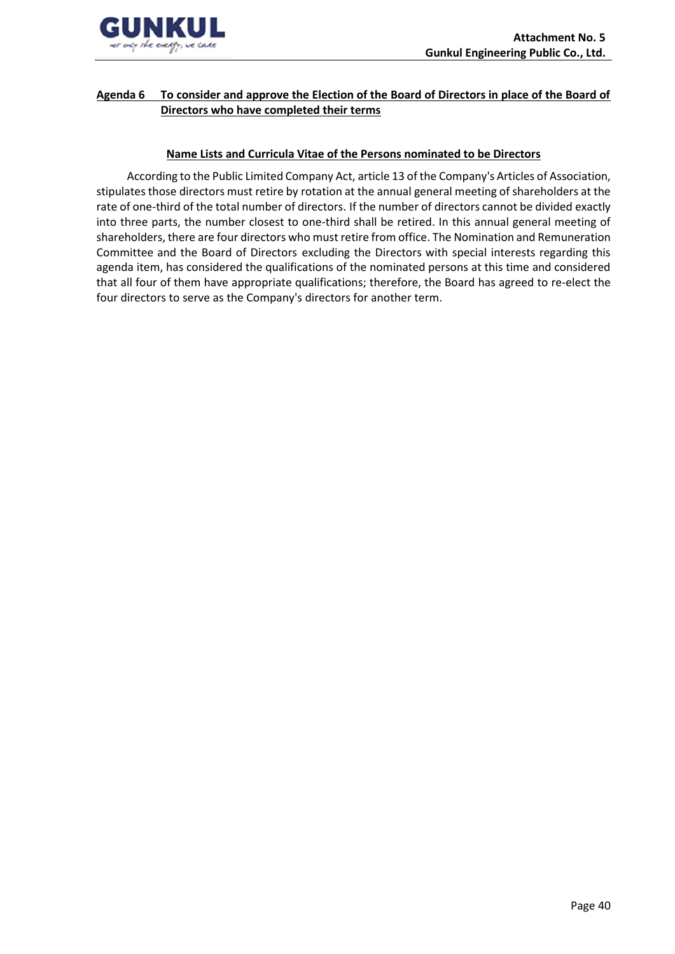

## **Agenda 6 To consider and approve the Election of the Board of Directors in place of the Board of Directors who have completed their terms**

### **Name Lists and Curricula Vitae of the Persons nominated to be Directors**

According to the Public Limited Company Act, article 13 of the Company's Articles of Association, stipulates those directors must retire by rotation at the annual general meeting of shareholders at the rate of one-third of the total number of directors. If the number of directors cannot be divided exactly into three parts, the number closest to one-third shall be retired. In this annual general meeting of shareholders, there are four directors who must retire from office. The Nomination and Remuneration Committee and the Board of Directors excluding the Directors with special interests regarding this agenda item, has considered the qualifications of the nominated persons at this time and considered that all four of them have appropriate qualifications; therefore, the Board has agreed to re-elect the four directors to serve as the Company's directors for another term.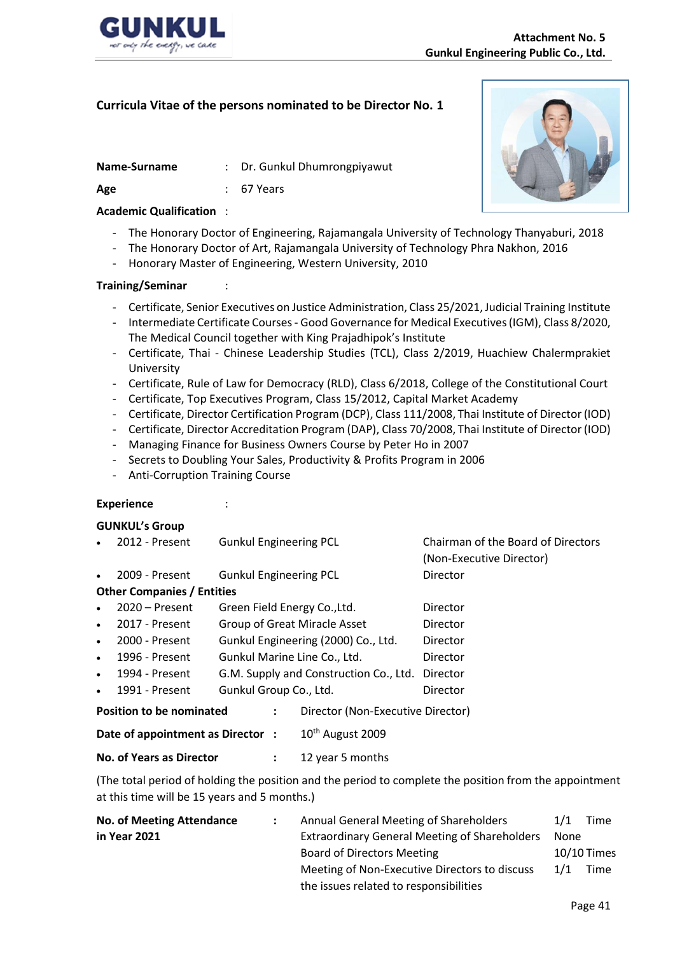

#### **Name-Surname** : Dr. Gunkul Dhumrongpiyawut

**Age** : 67 Years

### **Academic Qualification** :

- The Honorary Doctor of Engineering, Rajamangala University of Technology Thanyaburi, 2018
- The Honorary Doctor of Art, Rajamangala University of Technology Phra Nakhon, 2016
- Honorary Master of Engineering, Western University, 2010

### **Training/Seminar** :

- Certificate, Senior Executives on Justice Administration, Class 25/2021, Judicial Training Institute
- Intermediate Certificate Courses Good Governance for Medical Executives(IGM), Class 8/2020, The Medical Council together with King Prajadhipok's Institute
- Certificate, Thai Chinese Leadership Studies (TCL), Class 2/2019, Huachiew Chalermprakiet University
- Certificate, Rule of Law for Democracy (RLD), Class 6/2018, College of the Constitutional Court
- Certificate, Top Executives Program, Class 15/2012, Capital Market Academy
- Certificate, Director Certification Program (DCP), Class 111/2008, Thai Institute of Director (IOD)
- Certificate, Director Accreditation Program (DAP), Class 70/2008, Thai Institute of Director (IOD)
- Managing Finance for Business Owners Course by Peter Ho in 2007
- Secrets to Doubling Your Sales, Productivity & Profits Program in 2006
- Anti-Corruption Training Course

### **Experience** :

### **GUNKUL's Group**

• 2012 - Present Gunkul Engineering PCL Chairman of the Board of Directors (Non-Executive Director) • 2009 - Present Gunkul Engineering PCL Director **Other Companies / Entities**

| $\bullet$ 2020 – Present | Green Field Energy Co., Ltd.                    | Director |
|--------------------------|-------------------------------------------------|----------|
| $\bullet$ 2017 - Present | Group of Great Miracle Asset                    | Director |
| $\bullet$ 2000 - Present | Gunkul Engineering (2000) Co., Ltd.             | Director |
| $\bullet$ 1996 - Present | Gunkul Marine Line Co., Ltd.                    | Director |
| $\bullet$ 1994 - Present | G.M. Supply and Construction Co., Ltd. Director |          |

1991 - Present Gunkul Group Co., Ltd. Contractor

| Position to be nominated         | Director (Non-Executive Director) |
|----------------------------------|-----------------------------------|
| Date of appointment as Director: | 10 <sup>th</sup> August 2009      |

### **No. of Years as Director :** 12 year 5 months

(The total period of holding the position and the period to complete the position from the appointment at this time will be 15 years and 5 months.)

| <b>No. of Meeting Attendance</b> |  | Annual General Meeting of Shareholders               | 1/1 | Time        |  |
|----------------------------------|--|------------------------------------------------------|-----|-------------|--|
| in Year 2021                     |  | <b>Extraordinary General Meeting of Shareholders</b> |     | None        |  |
|                                  |  | <b>Board of Directors Meeting</b>                    |     | 10/10 Times |  |
|                                  |  | Meeting of Non-Executive Directors to discuss        | 1/1 | Time        |  |
|                                  |  | the issues related to responsibilities               |     |             |  |

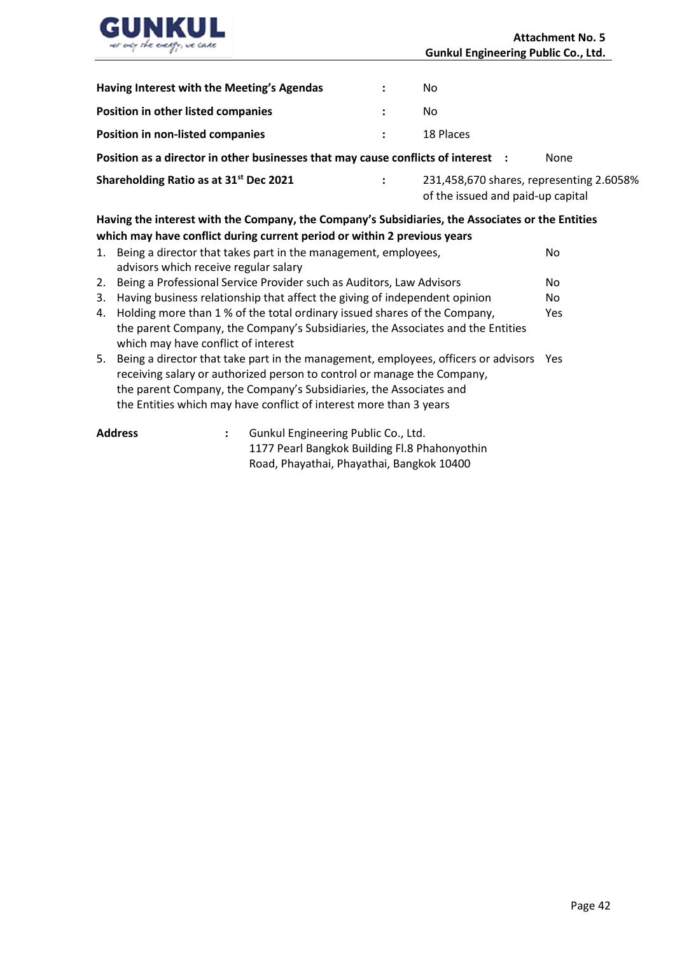

| Position as a director in other businesses that may cause conflicts of interest : |              |           |  |  |  |
|-----------------------------------------------------------------------------------|--------------|-----------|--|--|--|
| <b>Position in non-listed companies</b>                                           | $\mathbf{L}$ | 18 Places |  |  |  |
| Position in other listed companies                                                |              | No.       |  |  |  |
| Having Interest with the Meeting's Agendas                                        |              | No.       |  |  |  |

**Shareholding Ratio as at 31st Dec 2021 :** 231,458,670 shares, representing 2.6058% of the issued and paid-up capital

## **Having the interest with the Company, the Company's Subsidiaries, the Associates or the Entities which may have conflict during current period or within 2 previous years**

|    | 1. Being a director that takes part in the management, employees,<br>No<br>advisors which receive regular salary                                                                                                                                                                                             |            |  |  |  |  |  |
|----|--------------------------------------------------------------------------------------------------------------------------------------------------------------------------------------------------------------------------------------------------------------------------------------------------------------|------------|--|--|--|--|--|
|    | 2. Being a Professional Service Provider such as Auditors, Law Advisors                                                                                                                                                                                                                                      | No         |  |  |  |  |  |
| 3. | Having business relationship that affect the giving of independent opinion                                                                                                                                                                                                                                   | No.        |  |  |  |  |  |
|    | 4. Holding more than 1 % of the total ordinary issued shares of the Company,                                                                                                                                                                                                                                 | <b>Yes</b> |  |  |  |  |  |
|    | the parent Company, the Company's Subsidiaries, the Associates and the Entities<br>which may have conflict of interest                                                                                                                                                                                       |            |  |  |  |  |  |
|    | 5. Being a director that take part in the management, employees, officers or advisors<br>receiving salary or authorized person to control or manage the Company,<br>the parent Company, the Company's Subsidiaries, the Associates and<br>the Entities which may have conflict of interest more than 3 years | <b>Yes</b> |  |  |  |  |  |
|    | Gunkul Engineering Public Co., Itd.<br><b>Addracc</b>                                                                                                                                                                                                                                                        |            |  |  |  |  |  |

| Address | Gunkul Engineering Public Co., Ltd.           |
|---------|-----------------------------------------------|
|         | 1177 Pearl Bangkok Building Fl.8 Phahonyothin |
|         | Road, Phayathai, Phayathai, Bangkok 10400     |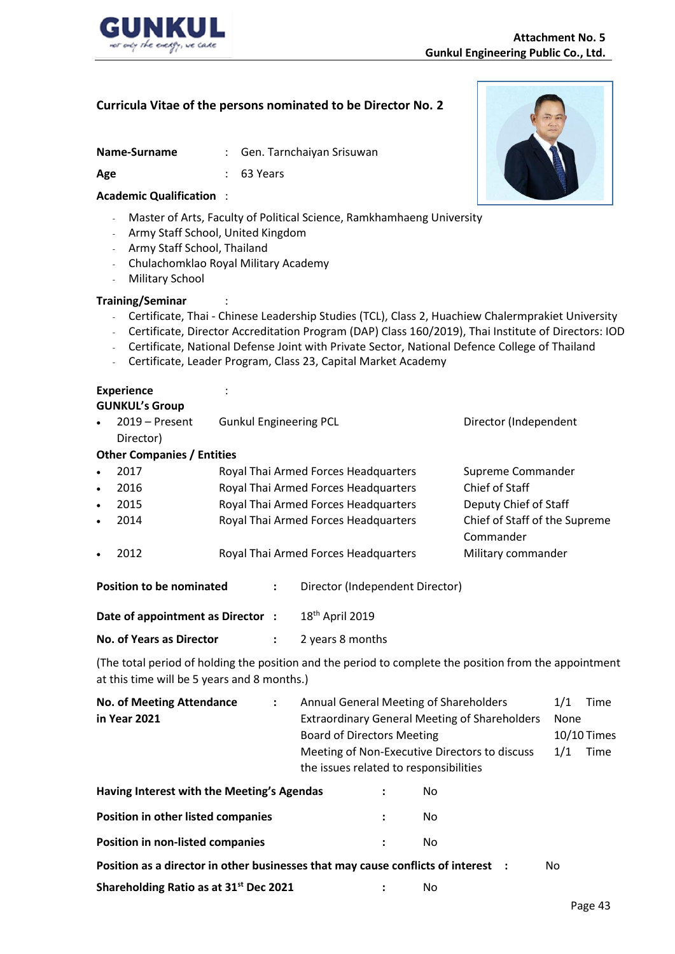

| Name-Surname |  |  |  |  |
|--------------|--|--|--|--|
|--------------|--|--|--|--|

: Gen. Tarnchaiyan Srisuwan

**Age** : 63 Years

### **Academic Qualification** :

- Master of Arts, Faculty of Political Science, Ramkhamhaeng University
- Army Staff School, United Kingdom
- Army Staff School, Thailand
- Chulachomklao Royal Military Academy
- Military School

### **Training/Seminar** :

- Certificate, Thai Chinese Leadership Studies (TCL), Class 2, Huachiew Chalermprakiet University
- Certificate, Director Accreditation Program (DAP) Class 160/2019), Thai Institute of Directors: IOD
- Certificate, National Defense Joint with Private Sector, National Defence College of Thailand
- Certificate, Leader Program, Class 23, Capital Market Academy

## **Experience** :

## **GUNKUL's Group**

| $\bullet$                        | $2019 -$ Present                  | <b>Gunkul Engineering PCL</b>        |                |                                      | Director (Independent         |
|----------------------------------|-----------------------------------|--------------------------------------|----------------|--------------------------------------|-------------------------------|
|                                  | Director)                         |                                      |                |                                      |                               |
|                                  | <b>Other Companies / Entities</b> |                                      |                |                                      |                               |
| $\bullet$                        | 2017                              |                                      |                | Royal Thai Armed Forces Headquarters | Supreme Commander             |
| ٠                                | 2016                              |                                      |                | Royal Thai Armed Forces Headquarters | Chief of Staff                |
| $\bullet$                        | 2015                              | Royal Thai Armed Forces Headquarters |                |                                      | Deputy Chief of Staff         |
| $\bullet$                        | 2014                              |                                      |                | Royal Thai Armed Forces Headquarters | Chief of Staff of the Supreme |
|                                  |                                   |                                      |                |                                      | Commander                     |
| $\bullet$                        | 2012                              |                                      |                | Royal Thai Armed Forces Headquarters | Military commander            |
|                                  | <b>Position to be nominated</b>   |                                      | $\ddot{\cdot}$ | Director (Independent Director)      |                               |
| Date of appointment as Director: |                                   |                                      |                | 18 <sup>th</sup> April 2019          |                               |
| No. of Years as Director         |                                   |                                      |                | 2 years 8 months                     |                               |

(The total period of holding the position and the period to complete the position from the appointment at this time will be 5 years and 8 months.)

| <b>No. of Meeting Attendance</b>                                                  | $\ddot{\cdot}$                         |                                   |                                                      | Annual General Meeting of Shareholders        | 1/1 | Time          |
|-----------------------------------------------------------------------------------|----------------------------------------|-----------------------------------|------------------------------------------------------|-----------------------------------------------|-----|---------------|
| in Year 2021                                                                      |                                        |                                   | <b>Extraordinary General Meeting of Shareholders</b> | None                                          |     |               |
|                                                                                   |                                        | <b>Board of Directors Meeting</b> |                                                      |                                               |     | $10/10$ Times |
|                                                                                   |                                        |                                   |                                                      | Meeting of Non-Executive Directors to discuss | 1/1 | Time          |
|                                                                                   | the issues related to responsibilities |                                   |                                                      |                                               |     |               |
| Having Interest with the Meeting's Agendas                                        |                                        |                                   |                                                      | No.                                           |     |               |
| Position in other listed companies                                                |                                        |                                   |                                                      | No.                                           |     |               |
| <b>Position in non-listed companies</b>                                           |                                        |                                   | $\ddot{\cdot}$                                       | No.                                           |     |               |
| Position as a director in other businesses that may cause conflicts of interest : |                                        |                                   |                                                      |                                               | No  |               |
| Shareholding Ratio as at 31 <sup>st</sup> Dec 2021                                |                                        |                                   |                                                      | No                                            |     |               |

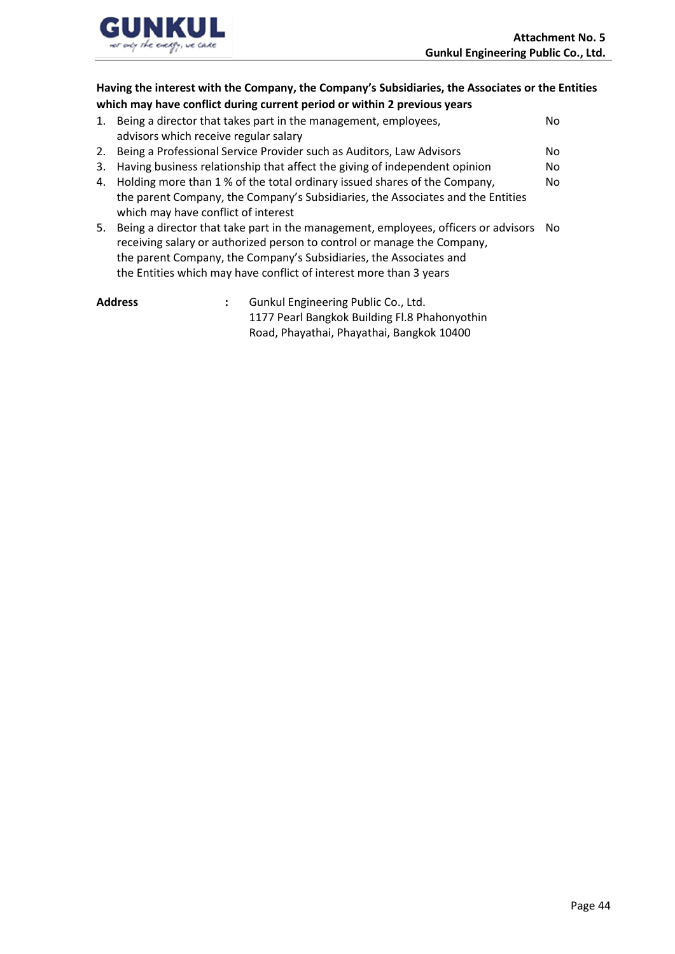

# **Having the interest with the Company, the Company's Subsidiaries, the Associates or the Entities which may have conflict during current period or within 2 previous years**

| 1. | Being a director that takes part in the management, employees,                        | No. |
|----|---------------------------------------------------------------------------------------|-----|
|    | advisors which receive regular salary                                                 |     |
|    | 2. Being a Professional Service Provider such as Auditors, Law Advisors               | No. |
| 3. | Having business relationship that affect the giving of independent opinion            | No. |
|    | 4. Holding more than 1 % of the total ordinary issued shares of the Company,          | No. |
|    | the parent Company, the Company's Subsidiaries, the Associates and the Entities       |     |
|    | which may have conflict of interest                                                   |     |
| 5. | Being a director that take part in the management, employees, officers or advisors No |     |
|    | receiving salary or authorized person to control or manage the Company,               |     |
|    | the parent Company, the Company's Subsidiaries, the Associates and                    |     |
|    | the Entities which may have conflict of interest more than 3 years                    |     |

| Address | Gunkul Engineering Public Co., Ltd.           |
|---------|-----------------------------------------------|
|         | 1177 Pearl Bangkok Building Fl.8 Phahonyothin |
|         | Road, Phayathai, Phayathai, Bangkok 10400     |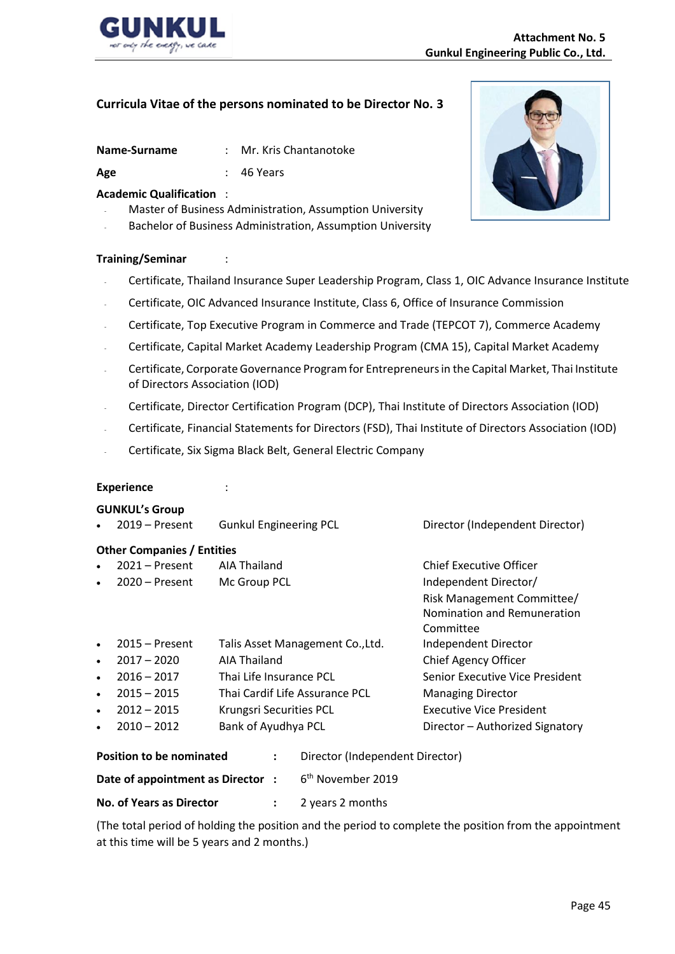

| Name-Surname | Mr. Kris Chantanotoke |
|--------------|-----------------------|
|              |                       |

Age  $\qquad \qquad$ : 46 Years

### **Academic Qualification** :

- Master of Business Administration, Assumption University
- Bachelor of Business Administration, Assumption University

### **Training/Seminar** :

- Certificate, Thailand Insurance Super Leadership Program, Class 1, OIC Advance Insurance Institute
- Certificate, OIC Advanced Insurance Institute, Class 6, Office of Insurance Commission
- Certificate, Top Executive Program in Commerce and Trade (TEPCOT 7), Commerce Academy
- Certificate, Capital Market Academy Leadership Program (CMA 15), Capital Market Academy
- Certificate, Corporate Governance Program for Entrepreneurs in the Capital Market, Thai Institute of Directors Association (IOD)
- Certificate, Director Certification Program (DCP), Thai Institute of Directors Association (IOD)
- Certificate, Financial Statements for Directors (FSD), Thai Institute of Directors Association (IOD)
- Certificate, Six Sigma Black Belt, General Electric Company

### **Experience** :

### **GUNKUL's Group**

| $\bullet$ | $2019 -$ Present                                                        | <b>Gunkul Engineering PCL</b>    | Director (Independent Director) |  |  |  |  |  |  |
|-----------|-------------------------------------------------------------------------|----------------------------------|---------------------------------|--|--|--|--|--|--|
|           | <b>Other Companies / Entities</b>                                       |                                  |                                 |  |  |  |  |  |  |
| $\bullet$ | $2021 -$ Present                                                        | AIA Thailand                     | Chief Executive Officer         |  |  |  |  |  |  |
| $\bullet$ | $2020 -$ Present                                                        | Mc Group PCL                     | Independent Director/           |  |  |  |  |  |  |
|           |                                                                         |                                  | Risk Management Committee/      |  |  |  |  |  |  |
|           |                                                                         |                                  | Nomination and Remuneration     |  |  |  |  |  |  |
|           |                                                                         |                                  | Committee                       |  |  |  |  |  |  |
| $\bullet$ | $2015 -$ Present                                                        | Talis Asset Management Co., Ltd. | Independent Director            |  |  |  |  |  |  |
| $\bullet$ | $2017 - 2020$                                                           | AIA Thailand                     | Chief Agency Officer            |  |  |  |  |  |  |
| $\bullet$ | $2016 - 2017$                                                           | Thai Life Insurance PCL          | Senior Executive Vice President |  |  |  |  |  |  |
| $\bullet$ | $2015 - 2015$                                                           | Thai Cardif Life Assurance PCL   | <b>Managing Director</b>        |  |  |  |  |  |  |
| $\bullet$ | $2012 - 2015$                                                           | Krungsri Securities PCL          | <b>Executive Vice President</b> |  |  |  |  |  |  |
| $\bullet$ | $2010 - 2012$                                                           | Bank of Ayudhya PCL              | Director - Authorized Signatory |  |  |  |  |  |  |
|           | <b>Position to be nominated</b><br>Director (Independent Director)<br>: |                                  |                                 |  |  |  |  |  |  |

| Position to be nominated         | Director (Independent Director) |
|----------------------------------|---------------------------------|
| Date of appointment as Director: | 6 <sup>th</sup> November 2019   |
| <b>No. of Years as Director</b>  | 2 years 2 months                |

(The total period of holding the position and the period to complete the position from the appointment at this time will be 5 years and 2 months.)

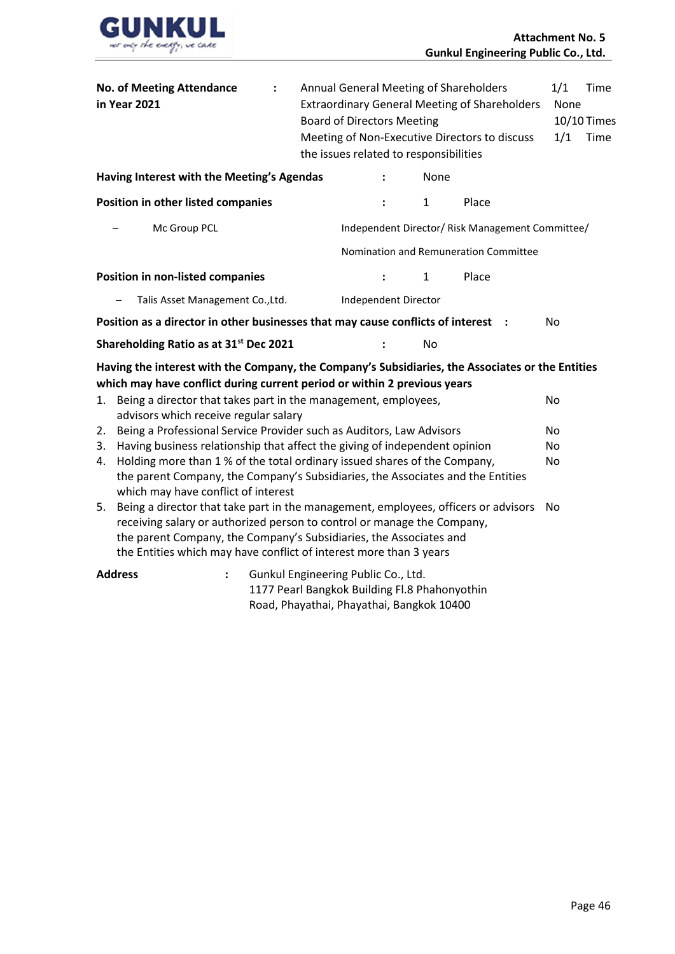

|                                    | <b>No. of Meeting Attendance</b><br>in Year 2021                                                                                                                                                                                                                                                          | $\ddot{\cdot}$                      |  | <b>Board of Directors Meeting</b> |  | the issues related to responsibilities                                                     | Annual General Meeting of Shareholders<br><b>Extraordinary General Meeting of Shareholders</b><br>Meeting of Non-Executive Directors to discuss | 1/1<br>1/1 | None | Time<br>10/10 Times<br>Time |
|------------------------------------|-----------------------------------------------------------------------------------------------------------------------------------------------------------------------------------------------------------------------------------------------------------------------------------------------------------|-------------------------------------|--|-----------------------------------|--|--------------------------------------------------------------------------------------------|-------------------------------------------------------------------------------------------------------------------------------------------------|------------|------|-----------------------------|
|                                    | Having Interest with the Meeting's Agendas                                                                                                                                                                                                                                                                |                                     |  |                                   |  | None                                                                                       |                                                                                                                                                 |            |      |                             |
| Position in other listed companies |                                                                                                                                                                                                                                                                                                           |                                     |  |                                   |  | $\mathbf{1}$                                                                               | Place                                                                                                                                           |            |      |                             |
|                                    | Mc Group PCL                                                                                                                                                                                                                                                                                              |                                     |  |                                   |  |                                                                                            | Independent Director/ Risk Management Committee/                                                                                                |            |      |                             |
|                                    |                                                                                                                                                                                                                                                                                                           |                                     |  |                                   |  |                                                                                            | Nomination and Remuneration Committee                                                                                                           |            |      |                             |
|                                    | <b>Position in non-listed companies</b>                                                                                                                                                                                                                                                                   |                                     |  |                                   |  | $\mathbf{1}$                                                                               | Place                                                                                                                                           |            |      |                             |
|                                    | Talis Asset Management Co., Ltd.                                                                                                                                                                                                                                                                          |                                     |  |                                   |  | Independent Director                                                                       |                                                                                                                                                 |            |      |                             |
|                                    | Position as a director in other businesses that may cause conflicts of interest                                                                                                                                                                                                                           |                                     |  |                                   |  |                                                                                            |                                                                                                                                                 | No         |      |                             |
|                                    | Shareholding Ratio as at 31 <sup>st</sup> Dec 2021                                                                                                                                                                                                                                                        |                                     |  |                                   |  | <b>No</b>                                                                                  |                                                                                                                                                 |            |      |                             |
|                                    | Having the interest with the Company, the Company's Subsidiaries, the Associates or the Entities<br>which may have conflict during current period or within 2 previous years                                                                                                                              |                                     |  |                                   |  |                                                                                            |                                                                                                                                                 |            |      |                             |
| 1.                                 | Being a director that takes part in the management, employees,<br>advisors which receive regular salary                                                                                                                                                                                                   |                                     |  |                                   |  |                                                                                            |                                                                                                                                                 | No         |      |                             |
| 2.                                 | Being a Professional Service Provider such as Auditors, Law Advisors                                                                                                                                                                                                                                      |                                     |  |                                   |  |                                                                                            |                                                                                                                                                 | <b>No</b>  |      |                             |
| 3.<br>4.                           | Having business relationship that affect the giving of independent opinion<br>Holding more than 1 % of the total ordinary issued shares of the Company,<br>the parent Company, the Company's Subsidiaries, the Associates and the Entities<br>which may have conflict of interest                         |                                     |  |                                   |  |                                                                                            | No<br>No                                                                                                                                        |            |      |                             |
| 5.                                 | Being a director that take part in the management, employees, officers or advisors<br>receiving salary or authorized person to control or manage the Company,<br>the parent Company, the Company's Subsidiaries, the Associates and<br>the Entities which may have conflict of interest more than 3 years |                                     |  |                                   |  |                                                                                            |                                                                                                                                                 | No         |      |                             |
|                                    | <b>Address</b><br>$\ddot{\phantom{a}}$                                                                                                                                                                                                                                                                    | Gunkul Engineering Public Co., Ltd. |  |                                   |  | 1177 Pearl Bangkok Building Fl.8 Phahonyothin<br>Road, Phayathai, Phayathai, Bangkok 10400 |                                                                                                                                                 |            |      |                             |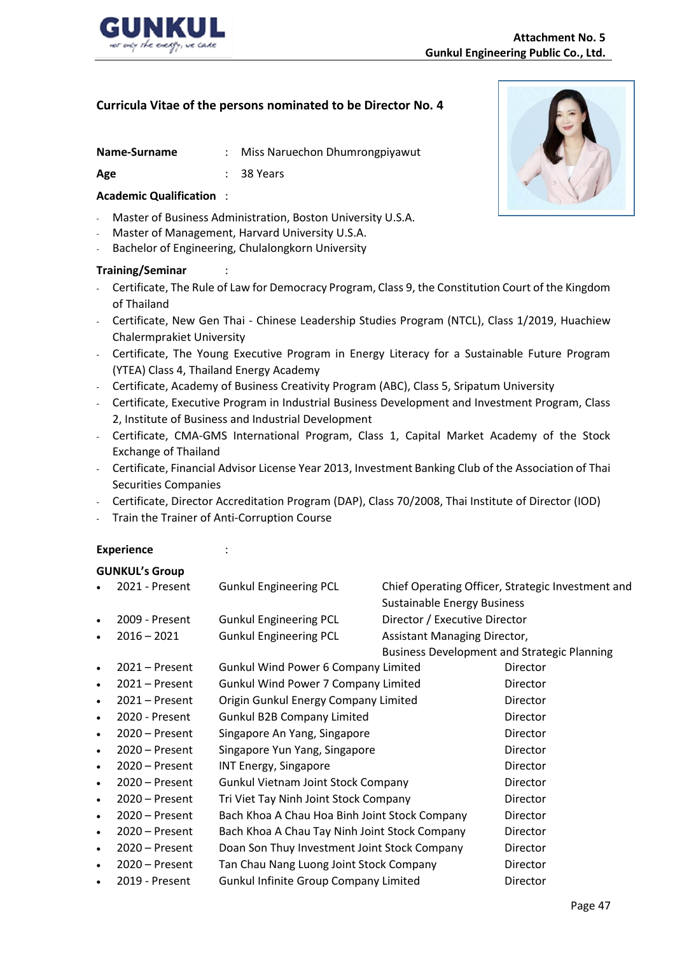

|  | Name-Surname |  | Miss Naruechon Dhumrongpiyawut |
|--|--------------|--|--------------------------------|
|--|--------------|--|--------------------------------|

Age : 38 Years

### **Academic Qualification** :

- Master of Business Administration, Boston University U.S.A.
- Master of Management, Harvard University U.S.A.
- Bachelor of Engineering, Chulalongkorn University

### **Training/Seminar** :

- Certificate, The Rule of Law for Democracy Program, Class 9, the Constitution Court of the Kingdom of Thailand
- Certificate, New Gen Thai Chinese Leadership Studies Program (NTCL), Class 1/2019, Huachiew Chalermprakiet University
- Certificate, The Young Executive Program in Energy Literacy for a Sustainable Future Program (YTEA) Class 4, Thailand Energy Academy
- Certificate, Academy of Business Creativity Program (ABC), Class 5, Sripatum University
- Certificate, Executive Program in Industrial Business Development and Investment Program, Class 2, Institute of Business and Industrial Development
- Certificate, CMA-GMS International Program, Class 1, Capital Market Academy of the Stock Exchange of Thailand
- Certificate, Financial Advisor License Year 2013, Investment Banking Club of the Association of Thai Securities Companies
- Certificate, Director Accreditation Program (DAP), Class 70/2008, Thai Institute of Director (IOD)
- Train the Trainer of Anti-Corruption Course

### **Experience** :

### **GUNKUL's Group**

|           | 2021 - Present   | <b>Gunkul Engineering PCL</b>                 |                                                    | Chief Operating Officer, Strategic Investment and |
|-----------|------------------|-----------------------------------------------|----------------------------------------------------|---------------------------------------------------|
|           |                  |                                               | <b>Sustainable Energy Business</b>                 |                                                   |
| $\bullet$ | 2009 - Present   | <b>Gunkul Engineering PCL</b>                 | Director / Executive Director                      |                                                   |
|           | $2016 - 2021$    | <b>Gunkul Engineering PCL</b>                 | Assistant Managing Director,                       |                                                   |
|           |                  |                                               | <b>Business Development and Strategic Planning</b> |                                                   |
| $\bullet$ | $2021 -$ Present | <b>Gunkul Wind Power 6 Company Limited</b>    |                                                    | Director                                          |
| $\bullet$ | $2021 -$ Present | Gunkul Wind Power 7 Company Limited           |                                                    | Director                                          |
| $\bullet$ | $2021 -$ Present | Origin Gunkul Energy Company Limited          |                                                    | Director                                          |
| $\bullet$ | 2020 - Present   | <b>Gunkul B2B Company Limited</b>             |                                                    | Director                                          |
| $\bullet$ | $2020 -$ Present | Singapore An Yang, Singapore                  |                                                    | Director                                          |
| $\bullet$ | 2020 – Present   | Singapore Yun Yang, Singapore                 |                                                    | Director                                          |
| $\bullet$ | $2020 -$ Present | <b>INT Energy, Singapore</b>                  |                                                    | Director                                          |
| $\bullet$ | 2020 – Present   | <b>Gunkul Vietnam Joint Stock Company</b>     |                                                    | Director                                          |
| $\bullet$ | $2020 -$ Present | Tri Viet Tay Ninh Joint Stock Company         |                                                    | Director                                          |
| $\bullet$ | 2020 – Present   | Bach Khoa A Chau Hoa Binh Joint Stock Company |                                                    | Director                                          |
| $\bullet$ | $2020 -$ Present | Bach Khoa A Chau Tay Ninh Joint Stock Company |                                                    | Director                                          |
| $\bullet$ | 2020 – Present   | Doan Son Thuy Investment Joint Stock Company  |                                                    | Director                                          |
| $\bullet$ | $2020 -$ Present | Tan Chau Nang Luong Joint Stock Company       |                                                    | Director                                          |
|           | 2019 - Present   | <b>Gunkul Infinite Group Company Limited</b>  |                                                    | Director                                          |

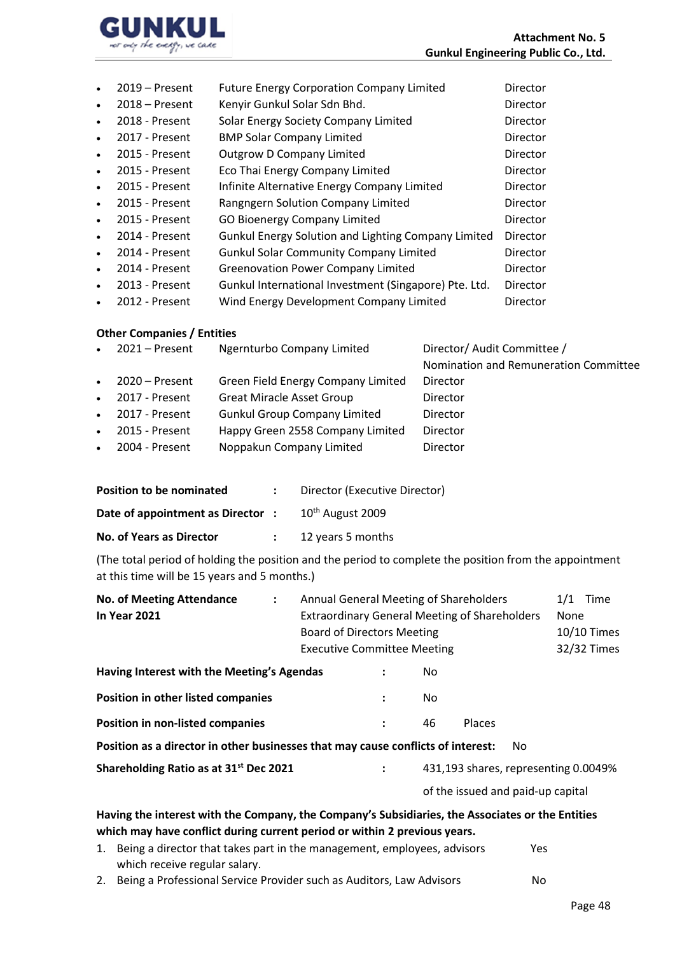

|           | $2019$ – Present | <b>Future Energy Corporation Company Limited</b>      | Director        |
|-----------|------------------|-------------------------------------------------------|-----------------|
| $\bullet$ | $2018 -$ Present | Kenyir Gunkul Solar Sdn Bhd.                          | <b>Director</b> |
| $\bullet$ | 2018 - Present   | Solar Energy Society Company Limited                  | <b>Director</b> |
| $\bullet$ | 2017 - Present   | <b>BMP Solar Company Limited</b>                      | <b>Director</b> |
| $\bullet$ | 2015 - Present   | <b>Outgrow D Company Limited</b>                      | Director        |
| $\bullet$ | 2015 - Present   | Eco Thai Energy Company Limited                       | <b>Director</b> |
| $\bullet$ | 2015 - Present   | Infinite Alternative Energy Company Limited           | <b>Director</b> |
| $\bullet$ | 2015 - Present   | Rangngern Solution Company Limited                    | Director        |
| $\bullet$ | 2015 - Present   | <b>GO Bioenergy Company Limited</b>                   | <b>Director</b> |
| $\bullet$ | 2014 - Present   | Gunkul Energy Solution and Lighting Company Limited   | Director        |
| $\bullet$ | 2014 - Present   | <b>Gunkul Solar Community Company Limited</b>         | <b>Director</b> |
| $\bullet$ | 2014 - Present   | <b>Greenovation Power Company Limited</b>             | <b>Director</b> |
| $\bullet$ | 2013 - Present   | Gunkul International Investment (Singapore) Pte. Ltd. | Director        |
| $\bullet$ | 2012 - Present   | Wind Energy Development Company Limited               | Director        |

### **Other Companies / Entities**

| $\bullet$ | $2021 -$ Present | Ngernturbo Company Limited          | Director/ Audit Committee /           |
|-----------|------------------|-------------------------------------|---------------------------------------|
|           |                  |                                     | Nomination and Remuneration Committee |
| $\bullet$ | 2020 – Present   | Green Field Energy Company Limited  | <b>Director</b>                       |
| $\bullet$ | 2017 - Present   | <b>Great Miracle Asset Group</b>    | Director                              |
| $\bullet$ | 2017 - Present   | <b>Gunkul Group Company Limited</b> | Director                              |
| $\bullet$ | 2015 - Present   | Happy Green 2558 Company Limited    | Director                              |
| $\bullet$ | 2004 - Present   | Noppakun Company Limited            | Director                              |
|           |                  |                                     |                                       |

| <b>Position to be nominated</b>  | Director (Executive Director) |
|----------------------------------|-------------------------------|
| Date of appointment as Director: | 10 <sup>th</sup> August 2009  |
| <b>No. of Years as Director</b>  | 12 years 5 months             |

(The total period of holding the position and the period to complete the position from the appointment at this time will be 15 years and 5 months.)

| <b>No. of Meeting Attendance</b>                                                                                                                                              | $\ddot{\cdot}$                                       | Annual General Meeting of Shareholders |                                   |                                      |               |     | 1/1         | Time        |
|-------------------------------------------------------------------------------------------------------------------------------------------------------------------------------|------------------------------------------------------|----------------------------------------|-----------------------------------|--------------------------------------|---------------|-----|-------------|-------------|
| <b>In Year 2021</b>                                                                                                                                                           | <b>Extraordinary General Meeting of Shareholders</b> |                                        |                                   |                                      | <b>None</b>   |     |             |             |
|                                                                                                                                                                               |                                                      | <b>Board of Directors Meeting</b>      |                                   |                                      |               |     | 10/10 Times |             |
|                                                                                                                                                                               |                                                      | <b>Executive Committee Meeting</b>     |                                   |                                      |               |     |             | 32/32 Times |
| Having Interest with the Meeting's Agendas                                                                                                                                    |                                                      |                                        |                                   | No.                                  |               |     |             |             |
| Position in other listed companies                                                                                                                                            |                                                      |                                        |                                   | No.                                  |               |     |             |             |
| <b>Position in non-listed companies</b>                                                                                                                                       |                                                      |                                        | :                                 | 46                                   | <b>Places</b> |     |             |             |
| Position as a director in other businesses that may cause conflicts of interest:                                                                                              |                                                      |                                        |                                   |                                      |               | No. |             |             |
| Shareholding Ratio as at 31 <sup>st</sup> Dec 2021                                                                                                                            |                                                      |                                        |                                   | 431,193 shares, representing 0.0049% |               |     |             |             |
|                                                                                                                                                                               |                                                      |                                        | of the issued and paid-up capital |                                      |               |     |             |             |
| Having the interest with the Company, the Company's Subsidiaries, the Associates or the Entities<br>which may have conflict during current period or within 2 previous years. |                                                      |                                        |                                   |                                      |               |     |             |             |

- 1. Being a director that takes part in the management, employees, advisors Yes which receive regular salary.
- 2. Being a Professional Service Provider such as Auditors, Law Advisors No